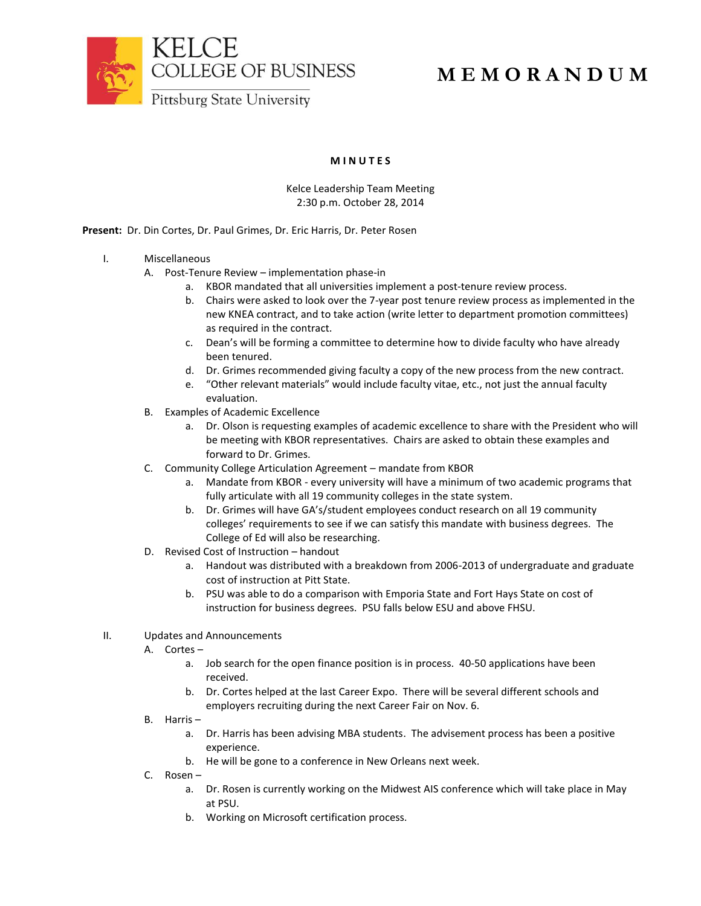



**M I N U T E S**

Kelce Leadership Team Meeting 2:30 p.m. October 28, 2014

**Present:** Dr. Din Cortes, Dr. Paul Grimes, Dr. Eric Harris, Dr. Peter Rosen

- I. Miscellaneous
	- A. Post-Tenure Review implementation phase-in
		- a. KBOR mandated that all universities implement a post-tenure review process.
		- b. Chairs were asked to look over the 7-year post tenure review process as implemented in the new KNEA contract, and to take action (write letter to department promotion committees) as required in the contract.
		- c. Dean's will be forming a committee to determine how to divide faculty who have already been tenured.
		- d. Dr. Grimes recommended giving faculty a copy of the new process from the new contract.
		- e. "Other relevant materials" would include faculty vitae, etc., not just the annual faculty evaluation.
	- B. Examples of Academic Excellence
		- a. Dr. Olson is requesting examples of academic excellence to share with the President who will be meeting with KBOR representatives. Chairs are asked to obtain these examples and forward to Dr. Grimes.
	- C. Community College Articulation Agreement mandate from KBOR
		- a. Mandate from KBOR every university will have a minimum of two academic programs that fully articulate with all 19 community colleges in the state system.
		- b. Dr. Grimes will have GA's/student employees conduct research on all 19 community colleges' requirements to see if we can satisfy this mandate with business degrees. The College of Ed will also be researching.
	- D. Revised Cost of Instruction handout
		- a. Handout was distributed with a breakdown from 2006-2013 of undergraduate and graduate cost of instruction at Pitt State.
		- b. PSU was able to do a comparison with Emporia State and Fort Hays State on cost of instruction for business degrees. PSU falls below ESU and above FHSU.
- II. Updates and Announcements
	- A. Cortes
		- a. Job search for the open finance position is in process. 40-50 applications have been received.
		- b. Dr. Cortes helped at the last Career Expo. There will be several different schools and employers recruiting during the next Career Fair on Nov. 6.
	- B. Harris
		- a. Dr. Harris has been advising MBA students. The advisement process has been a positive experience.
		- b. He will be gone to a conference in New Orleans next week.
	- C. Rosen
		- a. Dr. Rosen is currently working on the Midwest AIS conference which will take place in May at PSU.
		- b. Working on Microsoft certification process.